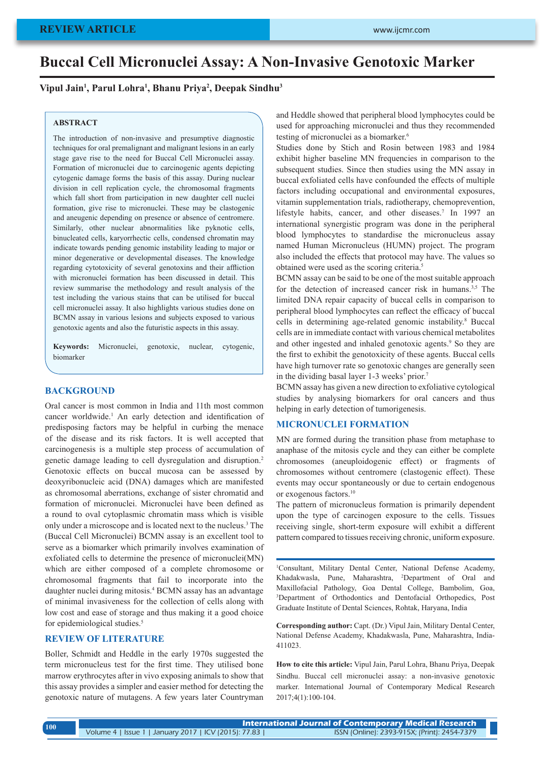### **REVIEW ARTICLE**

# **Buccal Cell Micronuclei Assay: A Non-Invasive Genotoxic Marker**

### **Vipul Jain1 , Parul Lohra1 , Bhanu Priya2 , Deepak Sindhu3**

### **ABSTRACT**

The introduction of non-invasive and presumptive diagnostic techniques for oral premalignant and malignant lesions in an early stage gave rise to the need for Buccal Cell Micronuclei assay. Formation of micronuclei due to carcinogenic agents depicting cytogenic damage forms the basis of this assay. During nuclear division in cell replication cycle, the chromosomal fragments which fall short from participation in new daughter cell nuclei formation, give rise to micronuclei. These may be clastogenic and aneugenic depending on presence or absence of centromere. Similarly, other nuclear abnormalities like pyknotic cells, binucleated cells, karyorrhectic cells, condensed chromatin may indicate towards pending genomic instability leading to major or minor degenerative or developmental diseases. The knowledge regarding cytotoxicity of several genotoxins and their affliction with micronuclei formation has been discussed in detail. This review summarise the methodology and result analysis of the test including the various stains that can be utilised for buccal cell micronuclei assay. It also highlights various studies done on BCMN assay in various lesions and subjects exposed to various genotoxic agents and also the futuristic aspects in this assay.

**Keywords:** Micronuclei, genotoxic, nuclear, cytogenic, biomarker

### **BACKGROUND**

Oral cancer is most common in India and 11th most common cancer worldwide.<sup>1</sup> An early detection and identification of predisposing factors may be helpful in curbing the menace of the disease and its risk factors. It is well accepted that carcinogenesis is a multiple step process of accumulation of genetic damage leading to cell dysregulation and disruption.2 Genotoxic effects on buccal mucosa can be assessed by deoxyribonucleic acid (DNA) damages which are manifested as chromosomal aberrations, exchange of sister chromatid and formation of micronuclei. Micronuclei have been defined as a round to oval cytoplasmic chromatin mass which is visible only under a microscope and is located next to the nucleus.3 The (Buccal Cell Micronuclei) BCMN assay is an excellent tool to serve as a biomarker which primarily involves examination of exfoliated cells to determine the presence of micronuclei(MN) which are either composed of a complete chromosome or chromosomal fragments that fail to incorporate into the daughter nuclei during mitosis.4 BCMN assay has an advantage of minimal invasiveness for the collection of cells along with low cost and ease of storage and thus making it a good choice for epidemiological studies.<sup>5</sup>

### **REVIEW OF LITERATURE**

Boller, Schmidt and Heddle in the early 1970s suggested the term micronucleus test for the first time. They utilised bone marrow erythrocytes after in vivo exposing animals to show that this assay provides a simpler and easier method for detecting the genotoxic nature of mutagens. A few years later Countryman and Heddle showed that peripheral blood lymphocytes could be used for approaching micronuclei and thus they recommended testing of micronuclei as a biomarker.<sup>6</sup>

Studies done by Stich and Rosin between 1983 and 1984 exhibit higher baseline MN frequencies in comparison to the subsequent studies. Since then studies using the MN assay in buccal exfoliated cells have confounded the effects of multiple factors including occupational and environmental exposures, vitamin supplementation trials, radiotherapy, chemoprevention, lifestyle habits, cancer, and other diseases.<sup>7</sup> In 1997 an international synergistic program was done in the peripheral blood lymphocytes to standardise the micronucleus assay named Human Micronucleus (HUMN) project. The program also included the effects that protocol may have. The values so obtained were used as the scoring criteria.5

BCMN assay can be said to be one of the most suitable approach for the detection of increased cancer risk in humans.<sup>3,5</sup> The limited DNA repair capacity of buccal cells in comparison to peripheral blood lymphocytes can reflect the efficacy of buccal cells in determining age-related genomic instability.<sup>8</sup> Buccal cells are in immediate contact with various chemical metabolites and other ingested and inhaled genotoxic agents.<sup>9</sup> So they are the first to exhibit the genotoxicity of these agents. Buccal cells have high turnover rate so genotoxic changes are generally seen in the dividing basal layer 1-3 weeks' prior.7

BCMN assay has given a new direction to exfoliative cytological studies by analysing biomarkers for oral cancers and thus helping in early detection of tumorigenesis.

### **MICRONUCLEI FORMATION**

MN are formed during the transition phase from metaphase to anaphase of the mitosis cycle and they can either be complete chromosomes (aneuploidogenic effect) or fragments of chromosomes without centromere (clastogenic effect). These events may occur spontaneously or due to certain endogenous or exogenous factors.10

The pattern of micronucleus formation is primarily dependent upon the type of carcinogen exposure to the cells. Tissues receiving single, short-term exposure will exhibit a different pattern compared to tissues receiving chronic, uniform exposure.

1 Consultant, Military Dental Center, National Defense Academy, Khadakwasla, Pune, Maharashtra, 2 Department of Oral and Maxillofacial Pathology, Goa Dental College, Bambolim, Goa, 3 Department of Orthodontics and Dentofacial Orthopedics, Post Graduate Institute of Dental Sciences, Rohtak, Haryana, India

**Corresponding author:** Capt. (Dr.) Vipul Jain, Military Dental Center, National Defense Academy, Khadakwasla, Pune, Maharashtra, India-411023.

**How to cite this article:** Vipul Jain, Parul Lohra, Bhanu Priya, Deepak Sindhu. Buccal cell micronuclei assay: a non-invasive genotoxic marker. International Journal of Contemporary Medical Research 2017;4(1):100-104.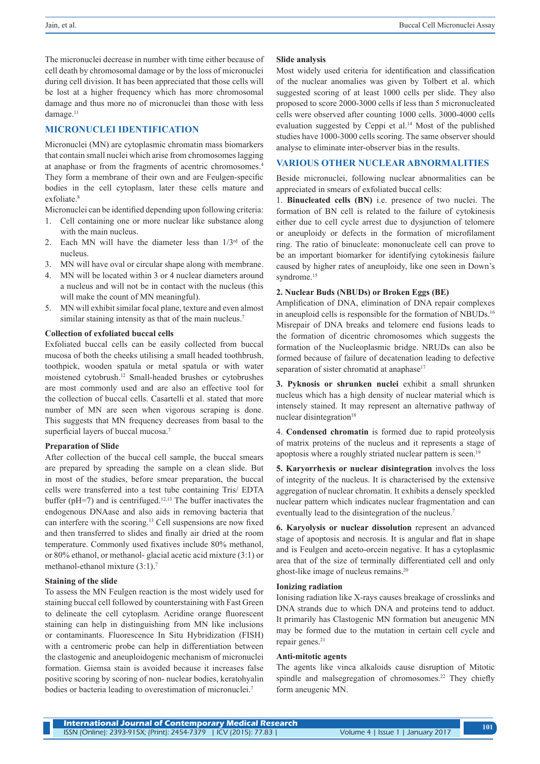The micronuclei decrease in number with time either because of cell death by chromosomal damage or by the loss of micronuclei during cell division. It has been appreciated that those cells will be lost at a higher frequency which has more chromosomal damage and thus more no of micronuclei than those with less damage.<sup>11</sup>

### **MICRONUCLEI IDENTIFICATION**

Micronuclei (MN) are cytoplasmic chromatin mass biomarkers that contain small nuclei which arise from chromosomes lagging at anaphase or from the fragments of acentric chromosomes.4 They form a membrane of their own and are Feulgen-specific bodies in the cell cytoplasm, later these cells mature and exfoliate.<sup>8</sup>

Micronuclei can be identified depending upon following criteria:

- 1. Cell containing one or more nuclear like substance along with the main nucleus.
- 2. Each MN will have the diameter less than  $1/3<sup>rd</sup>$  of the nucleus.
- 3. MN will have oval or circular shape along with membrane.
- 4. MN will be located within 3 or 4 nuclear diameters around a nucleus and will not be in contact with the nucleus (this will make the count of MN meaningful).
- 5. MN will exhibit similar focal plane, texture and even almost similar staining intensity as that of the main nucleus.<sup>7</sup>

#### **Collection of exfoliated buccal cells**

Exfoliated buccal cells can be easily collected from buccal mucosa of both the cheeks utilising a small headed toothbrush, toothpick, wooden spatula or metal spatula or with water moistened cytobrush.12 Small-headed brushes or cytobrushes are most commonly used and are also an effective tool for the collection of buccal cells. Casartelli et al. stated that more number of MN are seen when vigorous scraping is done. This suggests that MN frequency decreases from basal to the superficial layers of buccal mucosa.<sup>7</sup>

#### **Preparation of Slide**

After collection of the buccal cell sample, the buccal smears are prepared by spreading the sample on a clean slide. But in most of the studies, before smear preparation, the buccal cells were transferred into a test tube containing Tris/ EDTA buffer ( $pH=7$ ) and is centrifuged.<sup>12,13</sup> The buffer inactivates the endogenous DNAase and also aids in removing bacteria that can interfere with the scoring.<sup>13</sup> Cell suspensions are now fixed and then transferred to slides and finally air dried at the room temperature. Commonly used fixatives include 80% methanol, or 80% ethanol, or methanol- glacial acetic acid mixture (3:1) or methanol-ethanol mixture (3:1).7

#### **Staining of the slide**

To assess the MN Feulgen reaction is the most widely used for staining buccal cell followed by counterstaining with Fast Green to delineate the cell cytoplasm. Acridine orange fluorescent staining can help in distinguishing from MN like inclusions or contaminants. Fluorescence In Situ Hybridization (FISH) with a centromeric probe can help in differentiation between the clastogenic and aneuploidogenic mechanism of micronuclei formation. Giemsa stain is avoided because it increases false positive scoring by scoring of non- nuclear bodies, keratohyalin bodies or bacteria leading to overestimation of micronuclei.<sup>7</sup>

#### **Slide analysis**

Most widely used criteria for identification and classification of the nuclear anomalies was given by Tolbert et al. which suggested scoring of at least 1000 cells per slide. They also proposed to score 2000-3000 cells if less than 5 micronucleated cells were observed after counting 1000 cells. 3000-4000 cells evaluation suggested by Ceppi et al.<sup>14</sup> Most of the published studies have 1000-3000 cells scoring. The same observer should analyse to eliminate inter-observer bias in the results.

### **VARIOUS OTHER NUCLEAR ABNORMALITIES**

Beside micronuclei, following nuclear abnormalities can be appreciated in smears of exfoliated buccal cells:

1. **Binucleated cells (BN)** i.e. presence of two nuclei. The formation of BN cell is related to the failure of cytokinesis either due to cell cycle arrest due to dysjunction of telomere or aneuploidy or defects in the formation of microfilament ring. The ratio of binucleate: mononucleate cell can prove to be an important biomarker for identifying cytokinesis failure caused by higher rates of aneuploidy, like one seen in Down's syndrome.<sup>15</sup>

#### **2. Nuclear Buds (NBUDs) or Broken Eggs (BE)**

Amplification of DNA, elimination of DNA repair complexes in aneuploid cells is responsible for the formation of NBUDs.<sup>16</sup> Misrepair of DNA breaks and telomere end fusions leads to the formation of dicentric chromosomes which suggests the formation of the Nucleoplasmic bridge. NRUDs can also be formed because of failure of decatenation leading to defective separation of sister chromatid at anaphase<sup>17</sup>

**3. Pyknosis or shrunken nuclei** exhibit a small shrunken nucleus which has a high density of nuclear material which is intensely stained. It may represent an alternative pathway of nuclear disintegration<sup>18</sup>

4. **Condensed chromatin** is formed due to rapid proteolysis of matrix proteins of the nucleus and it represents a stage of apoptosis where a roughly striated nuclear pattern is seen.<sup>19</sup>

**5. Karyorrhexis or nuclear disintegration** involves the loss of integrity of the nucleus. It is characterised by the extensive aggregation of nuclear chromatin. It exhibits a densely speckled nuclear pattern which indicates nuclear fragmentation and can eventually lead to the disintegration of the nucleus.<sup>7</sup>

**6. Karyolysis or nuclear dissolution** represent an advanced stage of apoptosis and necrosis. It is angular and flat in shape and is Feulgen and aceto-orcein negative. It has a cytoplasmic area that of the size of terminally differentiated cell and only ghost-like image of nucleus remains.20

#### **Ionizing radiation**

Ionising radiation like X-rays causes breakage of crosslinks and DNA strands due to which DNA and proteins tend to adduct. It primarily has Clastogenic MN formation but aneugenic MN may be formed due to the mutation in certain cell cycle and repair genes.<sup>21</sup>

#### **Anti-mitotic agents**

The agents like vinca alkaloids cause disruption of Mitotic spindle and malsegregation of chromosomes.<sup>22</sup> They chiefly form aneugenic MN.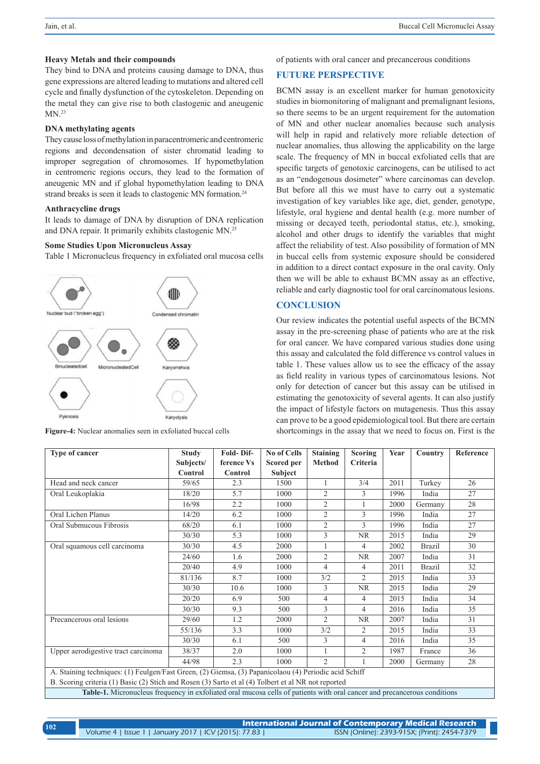### **Heavy Metals and their compounds**

They bind to DNA and proteins causing damage to DNA, thus gene expressions are altered leading to mutations and altered cell cycle and finally dysfunction of the cytoskeleton. Depending on the metal they can give rise to both clastogenic and aneugenic  $MN.<sup>23</sup>$ 

### **DNA methylating agents**

They cause loss of methylation in paracentromeric and centromeric regions and decondensation of sister chromatid leading to improper segregation of chromosomes. If hypomethylation in centromeric regions occurs, they lead to the formation of aneugenic MN and if global hypomethylation leading to DNA strand breaks is seen it leads to clastogenic MN formation.24

### **Anthracycline drugs**

It leads to damage of DNA by disruption of DNA replication and DNA repair. It primarily exhibits clastogenic MN.25

### **Some Studies Upon Micronucleus Assay**

Table 1 Micronucleus frequency in exfoliated oral mucosa cells



**Figure-4:** Nuclear anomalies seen in exfoliated buccal cells

### of patients with oral cancer and precancerous conditions

### **FUTURE PERSPECTIVE**

BCMN assay is an excellent marker for human genotoxicity studies in biomonitoring of malignant and premalignant lesions, so there seems to be an urgent requirement for the automation of MN and other nuclear anomalies because such analysis will help in rapid and relatively more reliable detection of nuclear anomalies, thus allowing the applicability on the large scale. The frequency of MN in buccal exfoliated cells that are specific targets of genotoxic carcinogens, can be utilised to act as an "endogenous dosimeter" where carcinomas can develop. But before all this we must have to carry out a systematic investigation of key variables like age, diet, gender, genotype, lifestyle, oral hygiene and dental health (e.g. more number of missing or decayed teeth, periodontal status, etc.), smoking, alcohol and other drugs to identify the variables that might affect the reliability of test. Also possibility of formation of MN in buccal cells from systemic exposure should be considered in addition to a direct contact exposure in the oral cavity. Only then we will be able to exhaust BCMN assay as an effective, reliable and early diagnostic tool for oral carcinomatous lesions.

### **CONCLUSION**

Our review indicates the potential useful aspects of the BCMN assay in the pre-screening phase of patients who are at the risk for oral cancer. We have compared various studies done using this assay and calculated the fold difference vs control values in table 1. These values allow us to see the efficacy of the assay as field reality in various types of carcinomatous lesions. Not only for detection of cancer but this assay can be utilised in estimating the genotoxicity of several agents. It can also justify the impact of lifestyle factors on mutagenesis. Thus this assay can prove to be a good epidemiological tool. But there are certain shortcomings in the assay that we need to focus on. First is the

| <b>Type of cancer</b>                                                                                                           | <b>Study</b> | Fold-Dif-      | <b>No of Cells</b> | <b>Staining</b> | <b>Scoring</b> | Year | Country       | Reference |
|---------------------------------------------------------------------------------------------------------------------------------|--------------|----------------|--------------------|-----------------|----------------|------|---------------|-----------|
|                                                                                                                                 | Subjects/    | ference Vs     | Scored per         | <b>Method</b>   | Criteria       |      |               |           |
|                                                                                                                                 | Control      | <b>Control</b> | <b>Subject</b>     |                 |                |      |               |           |
| Head and neck cancer                                                                                                            | 59/65        | 2.3            | 1500               |                 | 3/4            | 2011 | Turkey        | 26        |
| Oral Leukoplakia                                                                                                                | 18/20        | 5.7            | 1000               | $\overline{2}$  | 3              | 1996 | India         | 27        |
|                                                                                                                                 | 16/98        | 2.2            | 1000               | $\overline{2}$  |                | 2000 | Germany       | 28        |
| Oral Lichen Planus                                                                                                              | 14/20        | 6.2            | 1000               | $\overline{2}$  | 3              | 1996 | India         | 27        |
| Oral Submucous Fibrosis                                                                                                         | 68/20        | 6.1            | 1000               | $\overline{2}$  | 3              | 1996 | India         | 27        |
|                                                                                                                                 | 30/30        | 5.3            | 1000               | 3               | <b>NR</b>      | 2015 | India         | 29        |
| Oral squamous cell carcinoma                                                                                                    | 30/30        | 4.5            | 2000               |                 | 4              | 2002 | <b>Brazil</b> | 30        |
|                                                                                                                                 | 24/60        | 1.6            | 2000               | $\overline{2}$  | <b>NR</b>      | 2007 | India         | 31        |
|                                                                                                                                 | 20/40        | 4.9            | 1000               | 4               | 4              | 2011 | <b>Brazil</b> | 32        |
|                                                                                                                                 | 81/136       | 8.7            | 1000               | 3/2             | $\overline{2}$ | 2015 | India         | 33        |
|                                                                                                                                 | 30/30        | 10.6           | 1000               | 3               | <b>NR</b>      | 2015 | India         | 29        |
|                                                                                                                                 | 20/20        | 6.9            | 500                | $\overline{4}$  | 4              | 2015 | India         | 34        |
|                                                                                                                                 | 30/30        | 9.3            | 500                | 3               | 4              | 2016 | India         | 35        |
| Precancerous oral lesions                                                                                                       | 29/60        | 1.2            | 2000               | $\overline{2}$  | <b>NR</b>      | 2007 | India         | 31        |
|                                                                                                                                 | 55/136       | 3.3            | 1000               | 3/2             | $\overline{c}$ | 2015 | India         | 33        |
|                                                                                                                                 | 30/30        | 6.1            | 500                | 3               | 4              | 2016 | India         | 35        |
| Upper aerodigestive tract carcinoma                                                                                             | 38/37        | 2.0            | 1000               |                 | $\overline{2}$ | 1987 | France        | 36        |
|                                                                                                                                 | 44/98        | 2.3            | 1000               | $\mathfrak{D}$  |                | 2000 | Germany       | 28        |
| A. Staining techniques: (1) Feulgen/Fast Green, (2) Giemsa, (3) Papanicolaou (4) Periodic acid Schiff                           |              |                |                    |                 |                |      |               |           |
| B. Scoring criteria (1) Basic (2) Stich and Rosen (3) Sarto et al (4) Tolbert et al NR not reported                             |              |                |                    |                 |                |      |               |           |
| <b>Table-1.</b> Micronucleus frequency in exfoliated oral mucosa cells of patients with oral cancer and precancerous conditions |              |                |                    |                 |                |      |               |           |

| 102 | International Journal of Contemporary Medical Research |                                              |  |  |  |  |  |
|-----|--------------------------------------------------------|----------------------------------------------|--|--|--|--|--|
|     | Volume 4   Issue 1   January 2017   ICV (2015): 77.83  | ISSN (Online): 2393-915X; (Print): 2454-7379 |  |  |  |  |  |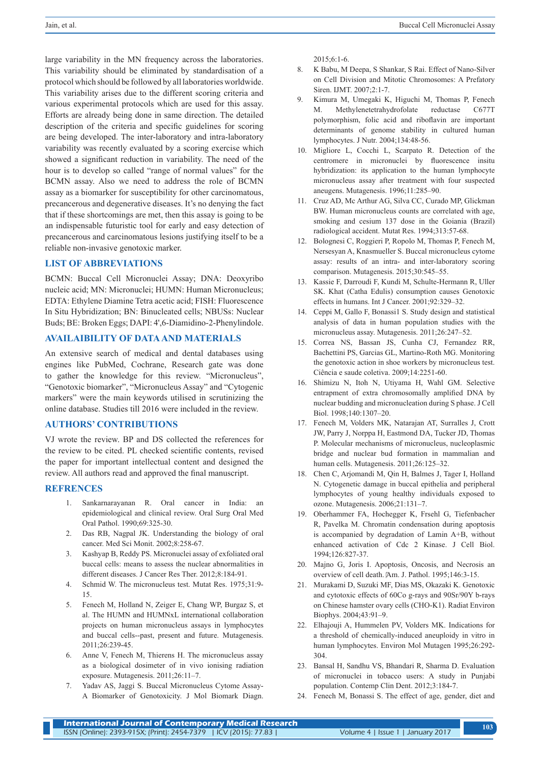large variability in the MN frequency across the laboratories. This variability should be eliminated by standardisation of a protocol which should be followed by all laboratories worldwide. This variability arises due to the different scoring criteria and various experimental protocols which are used for this assay. Efforts are already being done in same direction. The detailed description of the criteria and specific guidelines for scoring are being developed. The inter-laboratory and intra-laboratory variability was recently evaluated by a scoring exercise which showed a significant reduction in variability. The need of the hour is to develop so called "range of normal values" for the BCMN assay. Also we need to address the role of BCMN assay as a biomarker for susceptibility for other carcinomatous, precancerous and degenerative diseases. It's no denying the fact that if these shortcomings are met, then this assay is going to be an indispensable futuristic tool for early and easy detection of precancerous and carcinomatous lesions justifying itself to be a reliable non-invasive genotoxic marker.

### **LIST OF ABBREVIATIONS**

BCMN: Buccal Cell Micronuclei Assay; DNA: Deoxyribo nucleic acid; MN: Micronuclei; HUMN: Human Micronucleus; EDTA: Ethylene Diamine Tetra acetic acid; FISH: Fluorescence In Situ Hybridization; BN: Binucleated cells; NBUSs: Nuclear Buds; BE: Broken Eggs; DAPI: 4',6-Diamidino-2-Phenylindole.

### **AVAILAIBILITY OF DATA AND MATERIALS**

An extensive search of medical and dental databases using engines like PubMed, Cochrane, Research gate was done to gather the knowledge for this review. "Micronucleus", "Genotoxic biomarker", "Micronucleus Assay" and "Cytogenic markers" were the main keywords utilised in scrutinizing the online database. Studies till 2016 were included in the review.

### **AUTHORS' CONTRIBUTIONS**

VJ wrote the review. BP and DS collected the references for the review to be cited. PL checked scientific contents, revised the paper for important intellectual content and designed the review. All authors read and approved the final manuscript.

#### **REFRENCES**

- 1. Sankarnarayanan R. Oral cancer in India: an epidemiological and clinical review. Oral Surg Oral Med Oral Pathol. 1990;69:325-30.
- 2. Das RB, Nagpal JK. Understanding the biology of oral cancer. Med Sci Monit. 2002;8:258-67.
- 3. Kashyap B, Reddy PS. Micronuclei assay of exfoliated oral buccal cells: means to assess the nuclear abnormalities in different diseases. J Cancer Res Ther. 2012;8:184-91.
- 4. Schmid W. The micronucleus test. Mutat Res. 1975;31:9- 15.
- 5. Fenech M, Holland N, Zeiger E, Chang WP, Burgaz S, et al. The HUMN and HUMNxL international collaboration projects on human micronucleus assays in lymphocytes and buccal cells--past, present and future. Mutagenesis. 2011;26:239-45.
- 6. Anne V, Fenech M, Thierens H. The micronucleus assay as a biological dosimeter of in vivo ionising radiation exposure. Mutagenesis. 2011;26:11–7.
- 7. Yadav AS, Jaggi S. Buccal Micronucleus Cytome Assay-A Biomarker of Genotoxicity. J Mol Biomark Diagn.

 $2015.6:1-6$ 

- 8. K Babu, M Deepa, S Shankar, S Rai. Effect of Nano-Silver on Cell Division and Mitotic Chromosomes: A Prefatory Siren. **IJMT.** 2007:2:1-7.
- 9. Kimura M, Umegaki K, Higuchi M, Thomas P, Fenech M. Methylenetetrahydrofolate reductase C677T polymorphism, folic acid and riboflavin are important determinants of genome stability in cultured human lymphocytes. J Nutr. 2004;134:48-56.
- 10. Migliore L, Cocchi L, Scarpato R. Detection of the centromere in micronuclei by fluorescence insitu hybridization: its application to the human lymphocyte micronucleus assay after treatment with four suspected aneugens. Mutagenesis. 1996;11:285–90.
- 11. Cruz AD, Mc Arthur AG, Silva CC, Curado MP, Glickman BW. Human micronucleus counts are correlated with age, smoking and cesium 137 dose in the Goiania (Brazil) radiological accident. Mutat Res. 1994;313:57-68.
- 12. Bolognesi C, Roggieri P, Ropolo M, Thomas P, Fenech M, Nersesyan A, Knasmueller S. Buccal micronucleus cytome assay: results of an intra- and inter-laboratory scoring comparison. Mutagenesis. 2015;30:545–55.
- 13. Kassie F, Darroudi F, Kundi M, Schulte-Hermann R, Uller SK. Khat (Catha Edulis) consumption causes Genotoxic effects in humans. Int J Cancer. 2001;92:329–32.
- 14. Ceppi M, Gallo F, Bonassi1 S. Study design and statistical analysis of data in human population studies with the micronucleus assay. Mutagenesis. 2011;26:247–52.
- 15. Correa NS, Bassan JS, Cunha CJ, Fernandez RR, Bachettini PS, Garcias GL, Martino-Roth MG. Monitoring the genotoxic action in shoe workers by micronucleus test. Ciência e saude coletiva. 2009;14:2251-60.
- 16. Shimizu N, Itoh N, Utiyama H, Wahl GM. Selective entrapment of extra chromosomally amplified DNA by nuclear budding and micronucleation during S phase. J Cell Biol. 1998;140:1307–20.
- 17. Fenech M, Volders MK, Natarajan AT, Surralles J, Crott JW, Parry J, Norppa H, Eastmond DA, Tucker JD, Thomas P. Molecular mechanisms of micronucleus, nucleoplasmic bridge and nuclear bud formation in mammalian and human cells. Mutagenesis. 2011;26:125–32.
- 18. Chen C, Arjomandi M, Qin H, Balmes J, Tager I, Holland N. Cytogenetic damage in buccal epithelia and peripheral lymphocytes of young healthy individuals exposed to ozone. Mutagenesis. 2006;21:131–7.
- 19. Oberhammer FA, Hochegger K, Frsehl G, Tiefenbacher R, Pavelka M. Chromatin condensation during apoptosis is accompanied by degradation of Lamin A+B, without enhanced activation of Cdc 2 Kinase. J Cell Biol. 1994;126:827-37.
- 20. Majno G, Joris I. Apoptosis, Oncosis, and Necrosis an overview of cell death. Am. J. Pathol. 1995;146:3-15.
- 21. Murakami D, Suzuki MF, Dias MS, Okazaki K. Genotoxic and cytotoxic effects of 60Co g-rays and 90Sr/90Y b-rays on Chinese hamster ovary cells (CHO-K1). Radiat Environ Biophys. 2004;43:91–9.
- 22. Elhajouji A, Hummelen PV, Volders MK. Indications for a threshold of chemically-induced aneuploidy in vitro in human lymphocytes. Environ Mol Mutagen 1995;26:292- 304.
- 23. Bansal H, Sandhu VS, Bhandari R, Sharma D. Evaluation of micronuclei in tobacco users: A study in Punjabi population. Contemp Clin Dent. 2012;3:184-7.
- 24. Fenech M, Bonassi S. The effect of age, gender, diet and